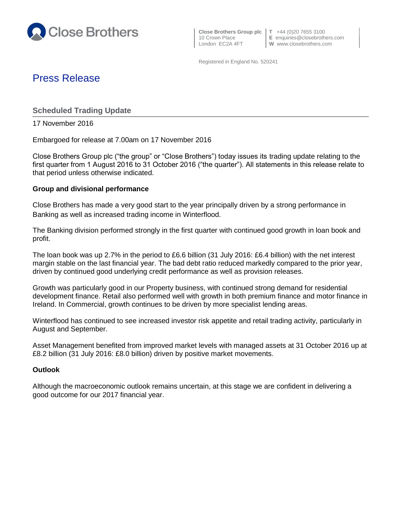

 **Close Brothers Group plc T** +44 (0)20 7655 3100 10 Crown Place **E** enquiries@closebrothers.com<br>
London EC2A 4FT **W** www.closebrothers.com

**W** www.closebrothers.com

Registered in England No. 520241

# Press Release

**Scheduled Trading Update**

17 November 2016

Embargoed for release at 7.00am on 17 November 2016

Close Brothers Group plc ("the group" or "Close Brothers") today issues its trading update relating to the first quarter from 1 August 2016 to 31 October 2016 ("the quarter"). All statements in this release relate to that period unless otherwise indicated.

## **Group and divisional performance**

Close Brothers has made a very good start to the year principally driven by a strong performance in Banking as well as increased trading income in Winterflood.

The Banking division performed strongly in the first quarter with continued good growth in loan book and profit.

The loan book was up 2.7% in the period to £6.6 billion (31 July 2016: £6.4 billion) with the net interest margin stable on the last financial year. The bad debt ratio reduced markedly compared to the prior year, driven by continued good underlying credit performance as well as provision releases.

Growth was particularly good in our Property business, with continued strong demand for residential development finance. Retail also performed well with growth in both premium finance and motor finance in Ireland. In Commercial, growth continues to be driven by more specialist lending areas.

Winterflood has continued to see increased investor risk appetite and retail trading activity, particularly in August and September.

Asset Management benefited from improved market levels with managed assets at 31 October 2016 up at £8.2 billion (31 July 2016: £8.0 billion) driven by positive market movements.

# **Outlook**

Although the macroeconomic outlook remains uncertain, at this stage we are confident in delivering a good outcome for our 2017 financial year.